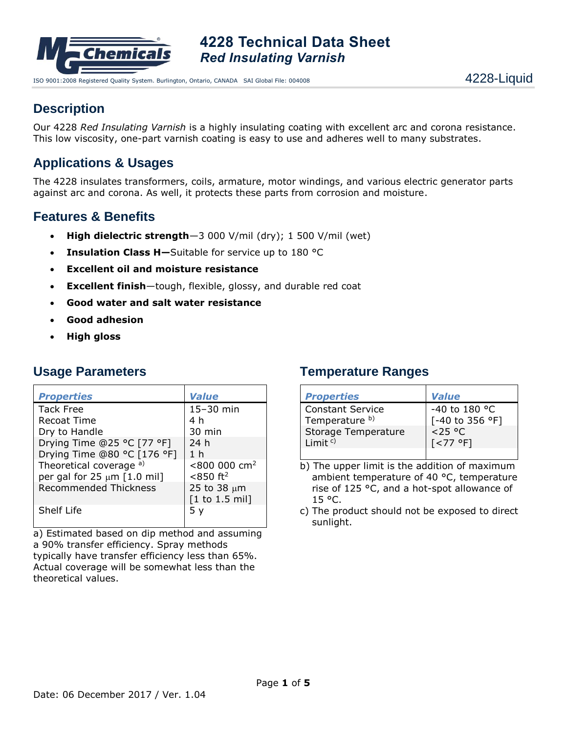

ISO 9001:2008 Registered Quality System. Burlington, Ontario, CANADA SAI Global File: 004008 4228- 44 and 4228-Liquid

## **Description**

Our 4228 *Red Insulating Varnish* is a highly insulating coating with excellent arc and corona resistance. This low viscosity, one-part varnish coating is easy to use and adheres well to many substrates.

# **Applications & Usages**

The 4228 insulates transformers, coils, armature, motor windings, and various electric generator parts against arc and corona. As well, it protects these parts from corrosion and moisture.

## **Features & Benefits**

- **High dielectric strength**—3 000 V/mil (dry); 1 500 V/mil (wet)
- **Insulation Class H—**Suitable for service up to 180 °C
- **Excellent oil and moisture resistance**
- **Excellent finish**—tough, flexible, glossy, and durable red coat
- **Good water and salt water resistance**
- **Good adhesion**
- **High gloss**

### **Usage Parameters**

| <b>Properties</b>                | <b>Value</b>                      |  |
|----------------------------------|-----------------------------------|--|
| <b>Tack Free</b>                 | $15-30$ min                       |  |
| Recoat Time                      | 4 h                               |  |
| Dry to Handle                    | 30 min                            |  |
| Drying Time @25 °C [77 °F]       | 24 h                              |  |
| Drying Time @80 °C [176 °F]      | 1 <sub>h</sub>                    |  |
| Theoretical coverage a)          | $< 800$ 000 cm <sup>2</sup>       |  |
| per gal for 25 $\mu$ m [1.0 mil] | $< 850$ ft <sup>2</sup>           |  |
| <b>Recommended Thickness</b>     | 25 to 38 $\mu$ m                  |  |
|                                  | $[1 \text{ to } 1.5 \text{ mil}]$ |  |
| Shelf Life                       |                                   |  |

a) Estimated based on dip method and assuming a 90% transfer efficiency. Spray methods typically have transfer efficiency less than 65%. Actual coverage will be somewhat less than the theoretical values.

### **Temperature Ranges**

| <b>Properties</b>       | <b>Value</b>        |
|-------------------------|---------------------|
| <b>Constant Service</b> | -40 to 180 °C       |
| Temperature b)          | [-40 to 356 °F]     |
| Storage Temperature     | $< 25$ °C           |
| Limit $c$ )             | $\sqrt{5}$ < 77 °F1 |
|                         |                     |

b) The upper limit is the addition of maximum ambient temperature of 40 °C, temperature rise of 125 °C, and a hot-spot allowance of 15 °C.

c) The product should not be exposed to direct sunlight.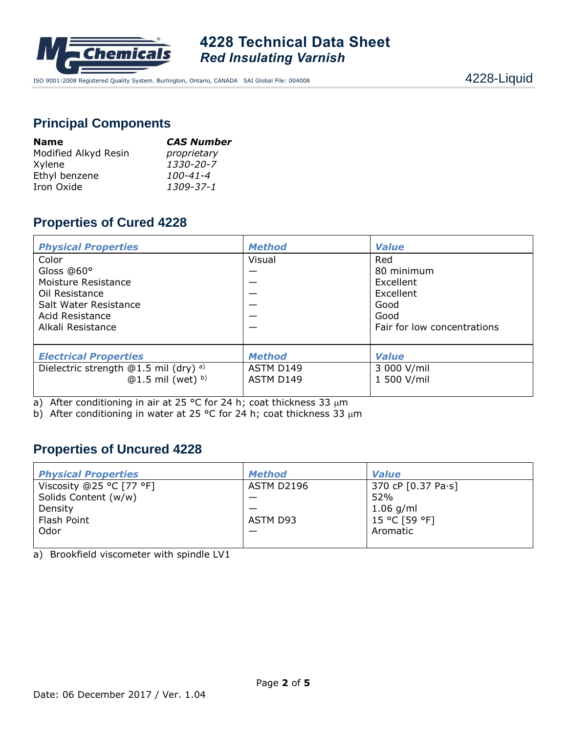

ISO 9001:2008 Registered Quality System. Burlington, Ontario, CANADA SAI Global File: 004008 4228- 44 and 4228-Liquid

## **Principal Components**

| <b>Name</b>          | <b>CAS Number</b> |  |  |
|----------------------|-------------------|--|--|
| Modified Alkyd Resin | proprietary       |  |  |
| Xylene               | 1330-20-7         |  |  |
| Ethyl benzene        | 100-41-4          |  |  |
| Iron Oxide           | 1309-37-1         |  |  |

## **Properties of Cured 4228**

| <b>Physical Properties</b>                                                                                                    | <b>Method</b>                           | <b>Value</b>                                                                               |
|-------------------------------------------------------------------------------------------------------------------------------|-----------------------------------------|--------------------------------------------------------------------------------------------|
| Color<br>Gloss @60°<br>Moisture Resistance<br>Oil Resistance<br>Salt Water Resistance<br>Acid Resistance<br>Alkali Resistance | Visual                                  | Red<br>80 minimum<br>Excellent<br>Excellent<br>Good<br>Good<br>Fair for low concentrations |
| <b>Electrical Properties</b><br>Dielectric strength @1.5 mil (dry) <sup>a)</sup><br>$@1.5$ mil (wet) b)                       | <b>Method</b><br>ASTM D149<br>ASTM D149 | <b>Value</b><br>3 000 V/mil<br>1 500 V/mil                                                 |

a) After conditioning in air at 25 °C for 24 h; coat thickness 33  $\mu$ m

b) After conditioning in water at 25 °C for 24 h; coat thickness 33  $\mu$ m

## **Properties of Uncured 4228**

| <b>Physical Properties</b> | <b>Method</b>     | <b>Value</b>       |
|----------------------------|-------------------|--------------------|
| Viscosity @25 °C [77 °F]   | <b>ASTM D2196</b> | 370 cP [0.37 Pa·s] |
| Solids Content (w/w)       |                   | 52%                |
| Density                    |                   | $1.06$ g/ml        |
| Flash Point                | ASTM D93          | 15 °C [59 °F]      |
| Odor                       |                   | Aromatic           |
|                            |                   |                    |

a) Brookfield viscometer with spindle LV1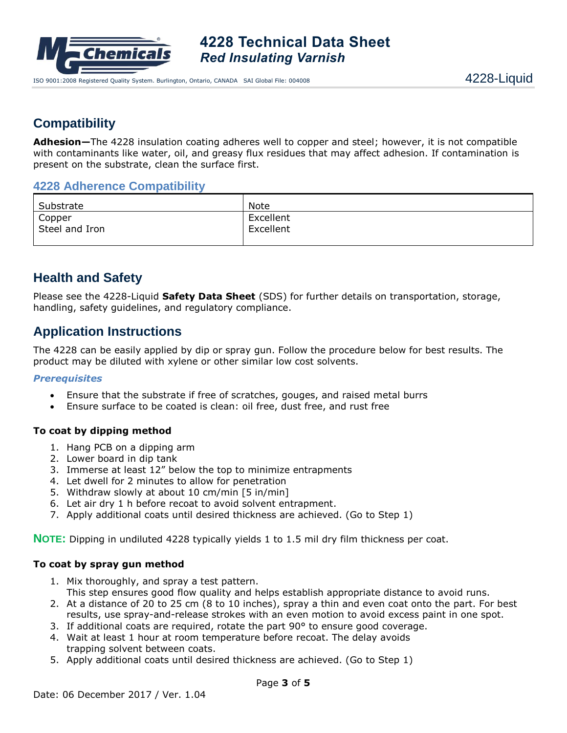

## **Compatibility**

**Adhesion—**The 4228 insulation coating adheres well to copper and steel; however, it is not compatible with contaminants like water, oil, and greasy flux residues that may affect adhesion. If contamination is present on the substrate, clean the surface first.

### **4228 Adherence Compatibility**

| Substrate                | Note                   |
|--------------------------|------------------------|
| Copper<br>Steel and Iron | Excellent<br>Excellent |
|                          |                        |

### **Health and Safety**

Please see the 4228-Liquid **Safety Data Sheet** (SDS) for further details on transportation, storage, handling, safety guidelines, and regulatory compliance.

### **Application Instructions**

The 4228 can be easily applied by dip or spray gun. Follow the procedure below for best results. The product may be diluted with xylene or other similar low cost solvents.

#### *Prerequisites*

- Ensure that the substrate if free of scratches, gouges, and raised metal burrs
- Ensure surface to be coated is clean: oil free, dust free, and rust free

### **To coat by dipping method**

- 1. Hang PCB on a dipping arm
- 2. Lower board in dip tank
- 3. Immerse at least 12" below the top to minimize entrapments
- 4. Let dwell for 2 minutes to allow for penetration
- 5. Withdraw slowly at about 10 cm/min [5 in/min]
- 6. Let air dry 1 h before recoat to avoid solvent entrapment.
- 7. Apply additional coats until desired thickness are achieved. (Go to Step 1)

**NOTE:** Dipping in undiluted 4228 typically yields 1 to 1.5 mil dry film thickness per coat.

#### **To coat by spray gun method**

- 1. Mix thoroughly, and spray a test pattern.
- This step ensures good flow quality and helps establish appropriate distance to avoid runs. 2. At a distance of 20 to 25 cm (8 to 10 inches), spray a thin and even coat onto the part. For best
- results, use spray-and-release strokes with an even motion to avoid excess paint in one spot.
- 3. If additional coats are required, rotate the part 90° to ensure good coverage.
- 4. Wait at least 1 hour at room temperature before recoat. The delay avoids trapping solvent between coats.
- 5. Apply additional coats until desired thickness are achieved. (Go to Step 1)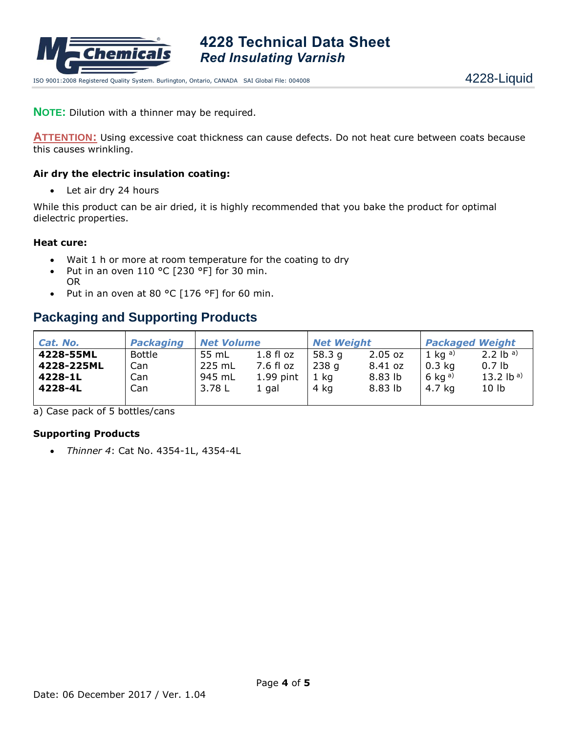

ISO 9001:2008 Registered Quality System. Burlington, Ontario, CANADA SAI Global File: 004008 4228- 49 4228-Liquid

**NOTE:** Dilution with a thinner may be required.

**ATTENTION:** Using excessive coat thickness can cause defects. Do not heat cure between coats because this causes wrinkling.

#### **Air dry the electric insulation coating:**

• Let air dry 24 hours

While this product can be air dried, it is highly recommended that you bake the product for optimal dielectric properties.

#### **Heat cure:**

- Wait 1 h or more at room temperature for the coating to dry
- Put in an oven 110 °C [230 °F] for 30 min. OR
- Put in an oven at 80 °C [176 °F] for 60 min.

## **Packaging and Supporting Products**

| Cat. No.   | <b>Packaging</b> | <b>Net Volume</b> |                  | <b>Net Weight</b> |           | <b>Packaged Weight</b> |                                |
|------------|------------------|-------------------|------------------|-------------------|-----------|------------------------|--------------------------------|
| 4228-55ML  | Bottle           | 55 mL             | $1.8 \,$ fl $oz$ | 58.3 q            | $2.05$ oz | 1 ka a)                | 2.2 $\mathsf{lb}^{\mathsf{a}}$ |
| 4228-225ML | Can.             | 225 mL            | 7.6 fl oz        | 238 g             | 8.41 oz   | $0.3$ kg               | 0.7 <sub>lb</sub>              |
| 4228-1L    | Can.             | 945 mL            | $1.99$ pint      | 1 kg              | 8.83 lb   | 6 kg $a)$              | 13.2 lb a)                     |
| 4228-4L    | Canl             | 3.78 L            | 1 gal            | 4 kg              | 8.83 lb   | 4.7 kg                 | 10 <sub>1b</sub>               |
|            |                  |                   |                  |                   |           |                        |                                |

a) Case pack of 5 bottles/cans

#### **Supporting Products**

• *Thinner 4*: Cat No. 4354-1L, 4354-4L